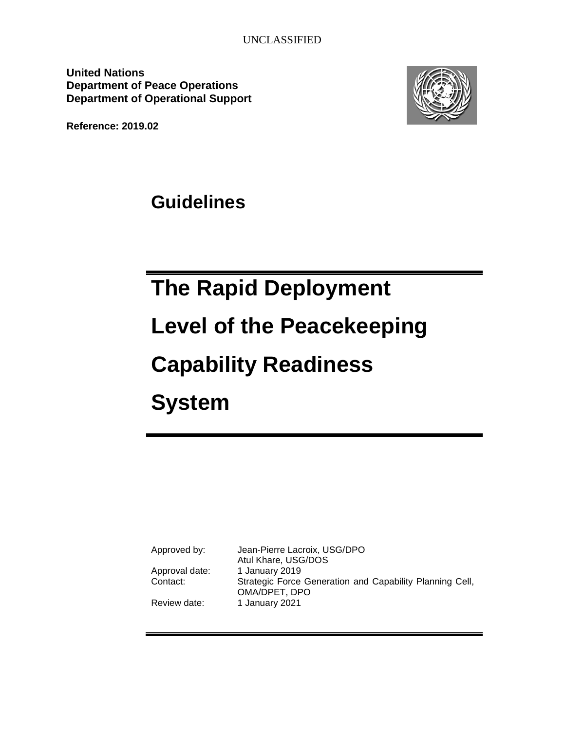**United Nations Department of Peace Operations Department of Operational Support**



**Reference: 2019.02**

**Guidelines**

# **The Rapid Deployment Level of the Peacekeeping Capability Readiness System**

| Approved by:   | Jean-Pierre Lacroix, USG/DPO<br>Atul Khare, USG/DOS                       |
|----------------|---------------------------------------------------------------------------|
| Approval date: | 1 January 2019                                                            |
| Contact:       | Strategic Force Generation and Capability Planning Cell,<br>OMA/DPET, DPO |
| Review date:   | 1 January 2021                                                            |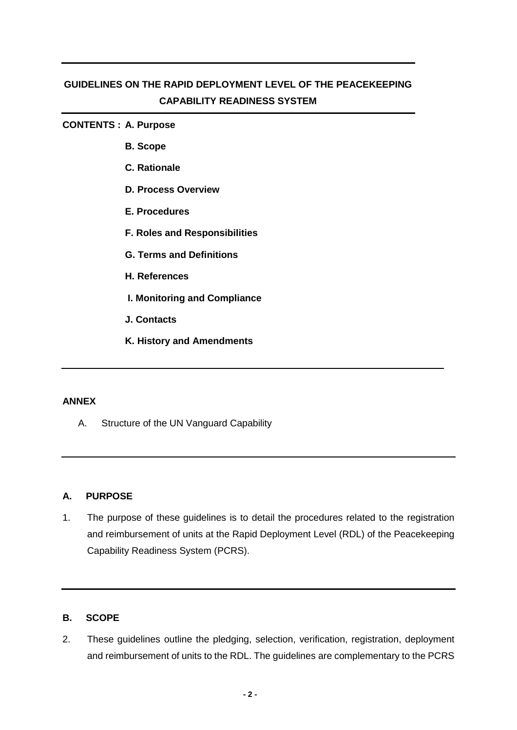## **GUIDELINES ON THE RAPID DEPLOYMENT LEVEL OF THE PEACEKEEPING CAPABILITY READINESS SYSTEM**

#### **CONTENTS : A. Purpose**

- **B. Scope**
- **C. Rationale**
- **D. Process Overview**
- **E. Procedures**
- **F. Roles and Responsibilities**
- **G. Terms and Definitions**
- **H. References**
- **I. Monitoring and Compliance**
- **J. Contacts**
- **K. History and Amendments**

#### **ANNEX**

A. Structure of the UN Vanguard Capability

#### **A. PURPOSE**

1. The purpose of these guidelines is to detail the procedures related to the registration and reimbursement of units at the Rapid Deployment Level (RDL) of the Peacekeeping Capability Readiness System (PCRS).

## **B. SCOPE**

2. These guidelines outline the pledging, selection, verification, registration, deployment and reimbursement of units to the RDL. The guidelines are complementary to the PCRS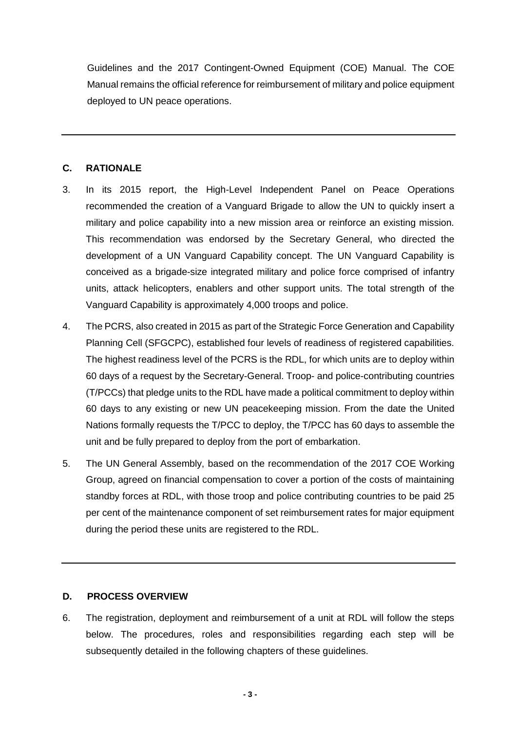Guidelines and the 2017 Contingent-Owned Equipment (COE) Manual. The COE Manual remains the official reference for reimbursement of military and police equipment deployed to UN peace operations.

## **C. RATIONALE**

- 3. In its 2015 report, the High-Level Independent Panel on Peace Operations recommended the creation of a Vanguard Brigade to allow the UN to quickly insert a military and police capability into a new mission area or reinforce an existing mission. This recommendation was endorsed by the Secretary General, who directed the development of a UN Vanguard Capability concept. The UN Vanguard Capability is conceived as a brigade-size integrated military and police force comprised of infantry units, attack helicopters, enablers and other support units. The total strength of the Vanguard Capability is approximately 4,000 troops and police.
- 4. The PCRS, also created in 2015 as part of the Strategic Force Generation and Capability Planning Cell (SFGCPC), established four levels of readiness of registered capabilities. The highest readiness level of the PCRS is the RDL, for which units are to deploy within 60 days of a request by the Secretary-General. Troop- and police-contributing countries (T/PCCs) that pledge units to the RDL have made a political commitment to deploy within 60 days to any existing or new UN peacekeeping mission. From the date the United Nations formally requests the T/PCC to deploy, the T/PCC has 60 days to assemble the unit and be fully prepared to deploy from the port of embarkation.
- 5. The UN General Assembly, based on the recommendation of the 2017 COE Working Group, agreed on financial compensation to cover a portion of the costs of maintaining standby forces at RDL, with those troop and police contributing countries to be paid 25 per cent of the maintenance component of set reimbursement rates for major equipment during the period these units are registered to the RDL.

## **D. PROCESS OVERVIEW**

6. The registration, deployment and reimbursement of a unit at RDL will follow the steps below. The procedures, roles and responsibilities regarding each step will be subsequently detailed in the following chapters of these quidelines.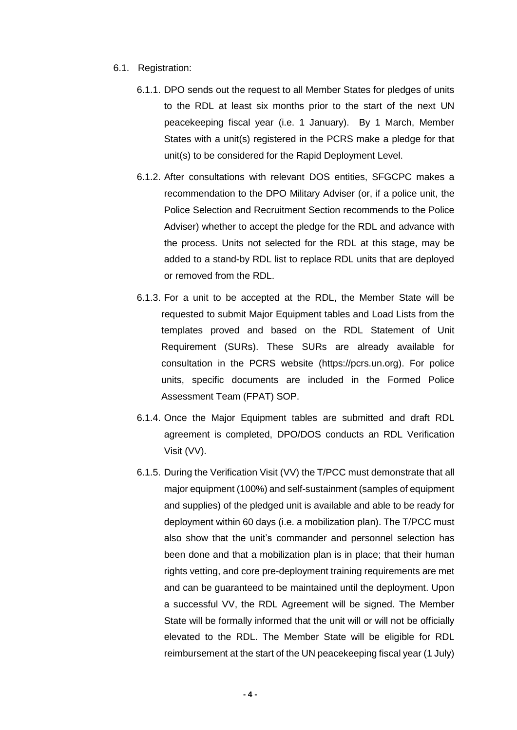- 6.1. Registration:
	- 6.1.1. DPO sends out the request to all Member States for pledges of units to the RDL at least six months prior to the start of the next UN peacekeeping fiscal year (i.e. 1 January). By 1 March, Member States with a unit(s) registered in the PCRS make a pledge for that unit(s) to be considered for the Rapid Deployment Level.
	- 6.1.2. After consultations with relevant DOS entities, SFGCPC makes a recommendation to the DPO Military Adviser (or, if a police unit, the Police Selection and Recruitment Section recommends to the Police Adviser) whether to accept the pledge for the RDL and advance with the process. Units not selected for the RDL at this stage, may be added to a stand-by RDL list to replace RDL units that are deployed or removed from the RDL.
	- 6.1.3. For a unit to be accepted at the RDL, the Member State will be requested to submit Major Equipment tables and Load Lists from the templates proved and based on the RDL Statement of Unit Requirement (SURs). These SURs are already available for consultation in the PCRS website (https://pcrs.un.org). For police units, specific documents are included in the Formed Police Assessment Team (FPAT) SOP.
	- 6.1.4. Once the Major Equipment tables are submitted and draft RDL agreement is completed, DPO/DOS conducts an RDL Verification Visit (VV).
	- 6.1.5. During the Verification Visit (VV) the T/PCC must demonstrate that all major equipment (100%) and self-sustainment (samples of equipment and supplies) of the pledged unit is available and able to be ready for deployment within 60 days (i.e. a mobilization plan). The T/PCC must also show that the unit's commander and personnel selection has been done and that a mobilization plan is in place; that their human rights vetting, and core pre-deployment training requirements are met and can be guaranteed to be maintained until the deployment. Upon a successful VV, the RDL Agreement will be signed. The Member State will be formally informed that the unit will or will not be officially elevated to the RDL. The Member State will be eligible for RDL reimbursement at the start of the UN peacekeeping fiscal year (1 July)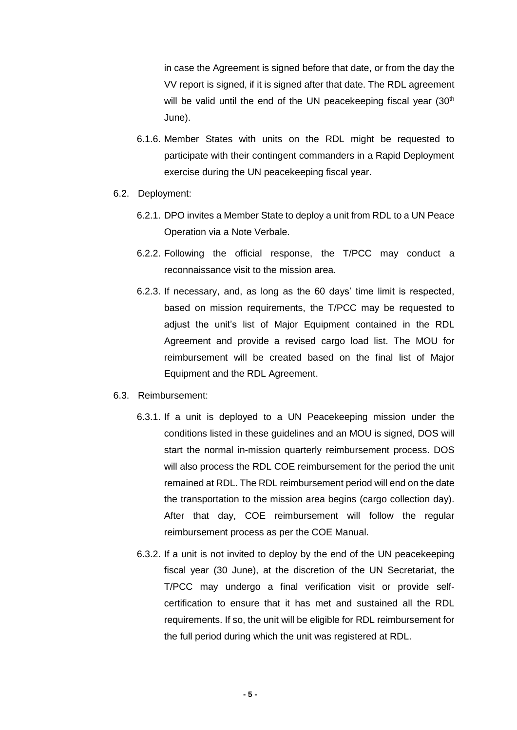in case the Agreement is signed before that date, or from the day the VV report is signed, if it is signed after that date. The RDL agreement will be valid until the end of the UN peacekeeping fiscal year (30<sup>th</sup>) June).

- 6.1.6. Member States with units on the RDL might be requested to participate with their contingent commanders in a Rapid Deployment exercise during the UN peacekeeping fiscal year.
- 6.2. Deployment:
	- 6.2.1. DPO invites a Member State to deploy a unit from RDL to a UN Peace Operation via a Note Verbale.
	- 6.2.2. Following the official response, the T/PCC may conduct a reconnaissance visit to the mission area.
	- 6.2.3. If necessary, and, as long as the 60 days' time limit is respected, based on mission requirements, the T/PCC may be requested to adjust the unit's list of Major Equipment contained in the RDL Agreement and provide a revised cargo load list. The MOU for reimbursement will be created based on the final list of Major Equipment and the RDL Agreement.
- 6.3. Reimbursement:
	- 6.3.1. If a unit is deployed to a UN Peacekeeping mission under the conditions listed in these guidelines and an MOU is signed, DOS will start the normal in-mission quarterly reimbursement process. DOS will also process the RDL COE reimbursement for the period the unit remained at RDL. The RDL reimbursement period will end on the date the transportation to the mission area begins (cargo collection day). After that day, COE reimbursement will follow the regular reimbursement process as per the COE Manual.
	- 6.3.2. If a unit is not invited to deploy by the end of the UN peacekeeping fiscal year (30 June), at the discretion of the UN Secretariat, the T/PCC may undergo a final verification visit or provide selfcertification to ensure that it has met and sustained all the RDL requirements. If so, the unit will be eligible for RDL reimbursement for the full period during which the unit was registered at RDL.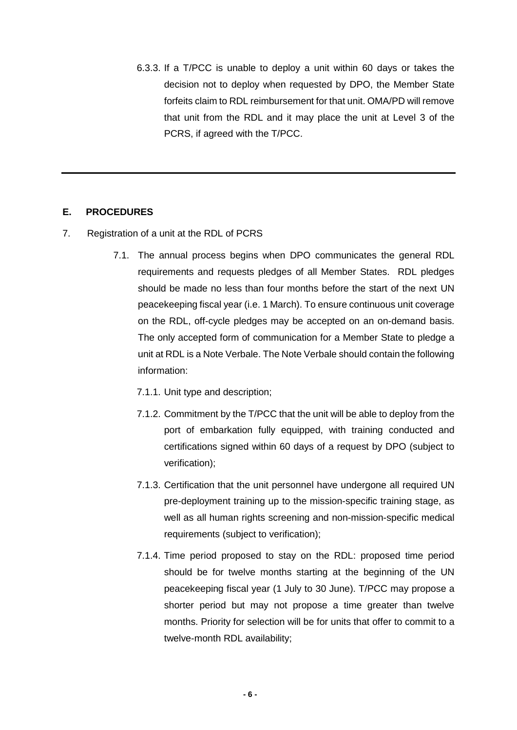6.3.3. If a T/PCC is unable to deploy a unit within 60 days or takes the decision not to deploy when requested by DPO, the Member State forfeits claim to RDL reimbursement for that unit. OMA/PD will remove that unit from the RDL and it may place the unit at Level 3 of the PCRS, if agreed with the T/PCC.

## **E. PROCEDURES**

- 7. Registration of a unit at the RDL of PCRS
	- 7.1. The annual process begins when DPO communicates the general RDL requirements and requests pledges of all Member States. RDL pledges should be made no less than four months before the start of the next UN peacekeeping fiscal year (i.e. 1 March). To ensure continuous unit coverage on the RDL, off-cycle pledges may be accepted on an on-demand basis. The only accepted form of communication for a Member State to pledge a unit at RDL is a Note Verbale. The Note Verbale should contain the following information:
		- 7.1.1. Unit type and description;
		- 7.1.2. Commitment by the T/PCC that the unit will be able to deploy from the port of embarkation fully equipped, with training conducted and certifications signed within 60 days of a request by DPO (subject to verification);
		- 7.1.3. Certification that the unit personnel have undergone all required UN pre-deployment training up to the mission-specific training stage, as well as all human rights screening and non-mission-specific medical requirements (subject to verification);
		- 7.1.4. Time period proposed to stay on the RDL: proposed time period should be for twelve months starting at the beginning of the UN peacekeeping fiscal year (1 July to 30 June). T/PCC may propose a shorter period but may not propose a time greater than twelve months. Priority for selection will be for units that offer to commit to a twelve-month RDL availability;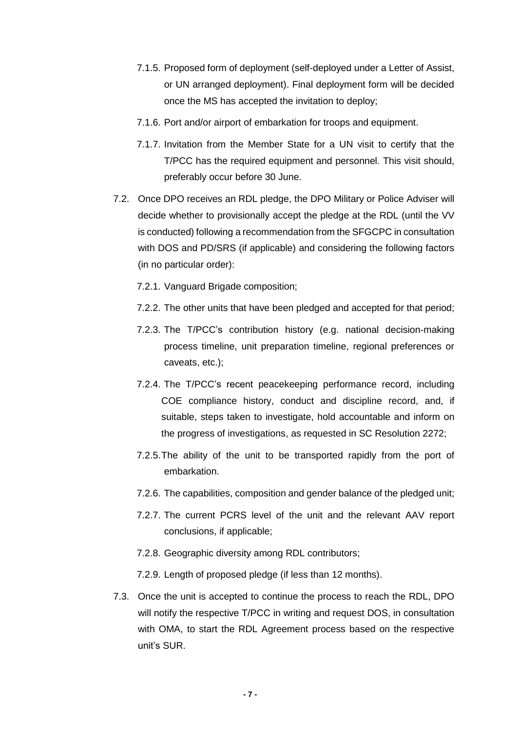- 7.1.5. Proposed form of deployment (self-deployed under a Letter of Assist, or UN arranged deployment). Final deployment form will be decided once the MS has accepted the invitation to deploy;
- 7.1.6. Port and/or airport of embarkation for troops and equipment.
- 7.1.7. Invitation from the Member State for a UN visit to certify that the T/PCC has the required equipment and personnel. This visit should, preferably occur before 30 June.
- 7.2. Once DPO receives an RDL pledge, the DPO Military or Police Adviser will decide whether to provisionally accept the pledge at the RDL (until the VV is conducted) following a recommendation from the SFGCPC in consultation with DOS and PD/SRS (if applicable) and considering the following factors (in no particular order):
	- 7.2.1. Vanguard Brigade composition;
	- 7.2.2. The other units that have been pledged and accepted for that period;
	- 7.2.3. The T/PCC's contribution history (e.g. national decision-making process timeline, unit preparation timeline, regional preferences or caveats, etc.);
	- 7.2.4. The T/PCC's recent peacekeeping performance record, including COE compliance history, conduct and discipline record, and, if suitable, steps taken to investigate, hold accountable and inform on the progress of investigations, as requested in SC Resolution 2272;
	- 7.2.5.The ability of the unit to be transported rapidly from the port of embarkation.
	- 7.2.6. The capabilities, composition and gender balance of the pledged unit;
	- 7.2.7. The current PCRS level of the unit and the relevant AAV report conclusions, if applicable;
	- 7.2.8. Geographic diversity among RDL contributors;
	- 7.2.9. Length of proposed pledge (if less than 12 months).
- 7.3. Once the unit is accepted to continue the process to reach the RDL, DPO will notify the respective T/PCC in writing and request DOS, in consultation with OMA, to start the RDL Agreement process based on the respective unit's SUR.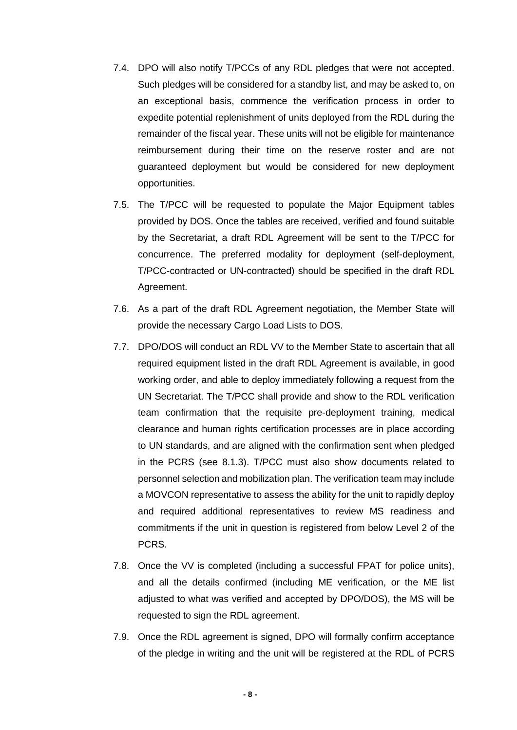- 7.4. DPO will also notify T/PCCs of any RDL pledges that were not accepted. Such pledges will be considered for a standby list, and may be asked to, on an exceptional basis, commence the verification process in order to expedite potential replenishment of units deployed from the RDL during the remainder of the fiscal year. These units will not be eligible for maintenance reimbursement during their time on the reserve roster and are not guaranteed deployment but would be considered for new deployment opportunities.
- 7.5. The T/PCC will be requested to populate the Major Equipment tables provided by DOS. Once the tables are received, verified and found suitable by the Secretariat, a draft RDL Agreement will be sent to the T/PCC for concurrence. The preferred modality for deployment (self-deployment, T/PCC-contracted or UN-contracted) should be specified in the draft RDL Agreement.
- 7.6. As a part of the draft RDL Agreement negotiation, the Member State will provide the necessary Cargo Load Lists to DOS.
- 7.7. DPO/DOS will conduct an RDL VV to the Member State to ascertain that all required equipment listed in the draft RDL Agreement is available, in good working order, and able to deploy immediately following a request from the UN Secretariat. The T/PCC shall provide and show to the RDL verification team confirmation that the requisite pre-deployment training, medical clearance and human rights certification processes are in place according to UN standards, and are aligned with the confirmation sent when pledged in the PCRS (see 8.1.3). T/PCC must also show documents related to personnel selection and mobilization plan. The verification team may include a MOVCON representative to assess the ability for the unit to rapidly deploy and required additional representatives to review MS readiness and commitments if the unit in question is registered from below Level 2 of the PCRS.
- 7.8. Once the VV is completed (including a successful FPAT for police units), and all the details confirmed (including ME verification, or the ME list adjusted to what was verified and accepted by DPO/DOS), the MS will be requested to sign the RDL agreement.
- 7.9. Once the RDL agreement is signed, DPO will formally confirm acceptance of the pledge in writing and the unit will be registered at the RDL of PCRS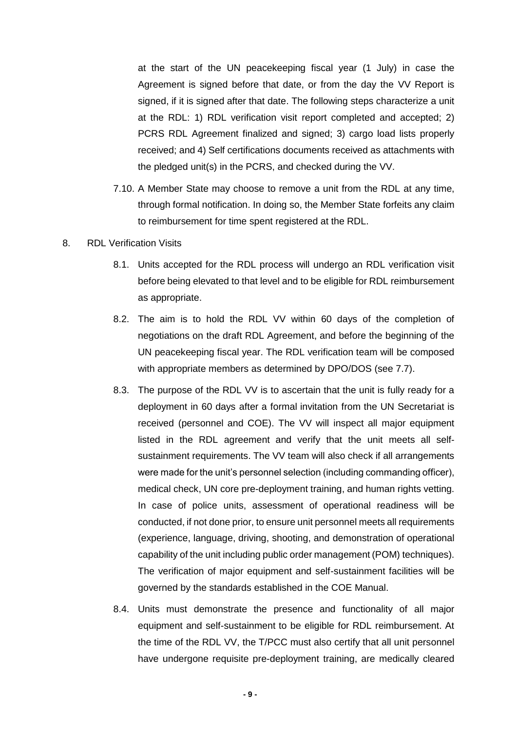at the start of the UN peacekeeping fiscal year (1 July) in case the Agreement is signed before that date, or from the day the VV Report is signed, if it is signed after that date. The following steps characterize a unit at the RDL: 1) RDL verification visit report completed and accepted; 2) PCRS RDL Agreement finalized and signed; 3) cargo load lists properly received; and 4) Self certifications documents received as attachments with the pledged unit(s) in the PCRS, and checked during the VV.

7.10. A Member State may choose to remove a unit from the RDL at any time, through formal notification. In doing so, the Member State forfeits any claim to reimbursement for time spent registered at the RDL.

#### 8. RDL Verification Visits

- 8.1. Units accepted for the RDL process will undergo an RDL verification visit before being elevated to that level and to be eligible for RDL reimbursement as appropriate.
- 8.2. The aim is to hold the RDL VV within 60 days of the completion of negotiations on the draft RDL Agreement, and before the beginning of the UN peacekeeping fiscal year. The RDL verification team will be composed with appropriate members as determined by DPO/DOS (see 7.7).
- 8.3. The purpose of the RDL VV is to ascertain that the unit is fully ready for a deployment in 60 days after a formal invitation from the UN Secretariat is received (personnel and COE). The VV will inspect all major equipment listed in the RDL agreement and verify that the unit meets all selfsustainment requirements. The VV team will also check if all arrangements were made for the unit's personnel selection (including commanding officer), medical check, UN core pre-deployment training, and human rights vetting. In case of police units, assessment of operational readiness will be conducted, if not done prior, to ensure unit personnel meets all requirements (experience, language, driving, shooting, and demonstration of operational capability of the unit including public order management (POM) techniques). The verification of major equipment and self-sustainment facilities will be governed by the standards established in the COE Manual.
- 8.4. Units must demonstrate the presence and functionality of all major equipment and self-sustainment to be eligible for RDL reimbursement. At the time of the RDL VV, the T/PCC must also certify that all unit personnel have undergone requisite pre-deployment training, are medically cleared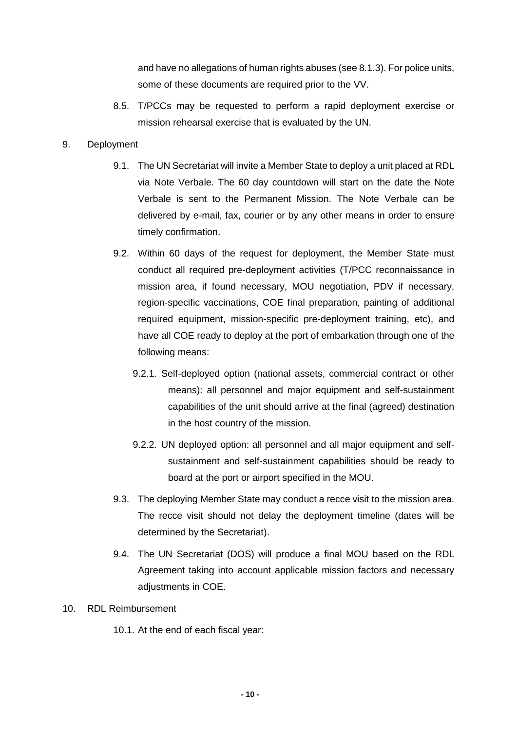and have no allegations of human rights abuses (see 8.1.3). For police units, some of these documents are required prior to the VV.

8.5. T/PCCs may be requested to perform a rapid deployment exercise or mission rehearsal exercise that is evaluated by the UN.

#### 9. Deployment

- 9.1. The UN Secretariat will invite a Member State to deploy a unit placed at RDL via Note Verbale. The 60 day countdown will start on the date the Note Verbale is sent to the Permanent Mission. The Note Verbale can be delivered by e-mail, fax, courier or by any other means in order to ensure timely confirmation.
- 9.2. Within 60 days of the request for deployment, the Member State must conduct all required pre-deployment activities (T/PCC reconnaissance in mission area, if found necessary, MOU negotiation, PDV if necessary, region-specific vaccinations, COE final preparation, painting of additional required equipment, mission-specific pre-deployment training, etc), and have all COE ready to deploy at the port of embarkation through one of the following means:
	- 9.2.1. Self-deployed option (national assets, commercial contract or other means): all personnel and major equipment and self-sustainment capabilities of the unit should arrive at the final (agreed) destination in the host country of the mission.
	- 9.2.2. UN deployed option: all personnel and all major equipment and selfsustainment and self-sustainment capabilities should be ready to board at the port or airport specified in the MOU.
- 9.3. The deploying Member State may conduct a recce visit to the mission area. The recce visit should not delay the deployment timeline (dates will be determined by the Secretariat).
- 9.4. The UN Secretariat (DOS) will produce a final MOU based on the RDL Agreement taking into account applicable mission factors and necessary adjustments in COE.

#### 10. RDL Reimbursement

10.1. At the end of each fiscal year: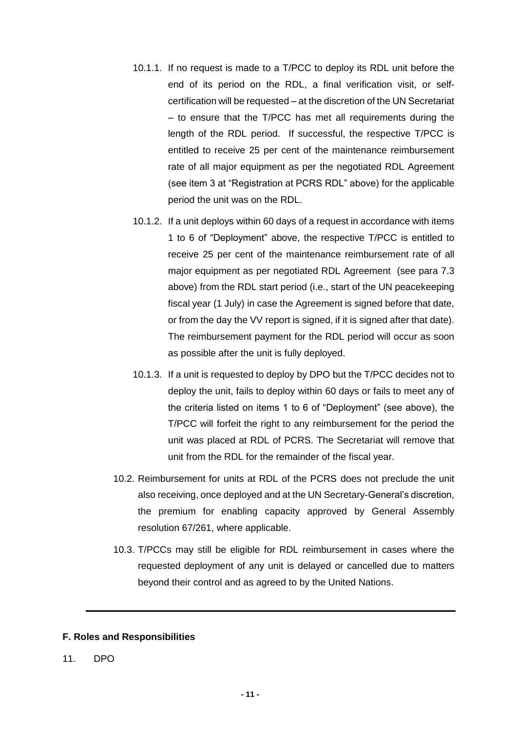- 10.1.1. If no request is made to a T/PCC to deploy its RDL unit before the end of its period on the RDL, a final verification visit, or selfcertification will be requested – at the discretion of the UN Secretariat – to ensure that the T/PCC has met all requirements during the length of the RDL period. If successful, the respective T/PCC is entitled to receive 25 per cent of the maintenance reimbursement rate of all major equipment as per the negotiated RDL Agreement (see item 3 at "Registration at PCRS RDL" above) for the applicable period the unit was on the RDL.
- 10.1.2. If a unit deploys within 60 days of a request in accordance with items 1 to 6 of "Deployment" above, the respective T/PCC is entitled to receive 25 per cent of the maintenance reimbursement rate of all major equipment as per negotiated RDL Agreement (see para 7.3 above) from the RDL start period (i.e., start of the UN peacekeeping fiscal year (1 July) in case the Agreement is signed before that date, or from the day the VV report is signed, if it is signed after that date). The reimbursement payment for the RDL period will occur as soon as possible after the unit is fully deployed.
- 10.1.3. If a unit is requested to deploy by DPO but the T/PCC decides not to deploy the unit, fails to deploy within 60 days or fails to meet any of the criteria listed on items 1 to 6 of "Deployment" (see above), the T/PCC will forfeit the right to any reimbursement for the period the unit was placed at RDL of PCRS. The Secretariat will remove that unit from the RDL for the remainder of the fiscal year.
- 10.2. Reimbursement for units at RDL of the PCRS does not preclude the unit also receiving, once deployed and at the UN Secretary-General's discretion, the premium for enabling capacity approved by General Assembly resolution 67/261, where applicable.
- 10.3. T/PCCs may still be eligible for RDL reimbursement in cases where the requested deployment of any unit is delayed or cancelled due to matters beyond their control and as agreed to by the United Nations.

#### **F. Roles and Responsibilities**

11. DPO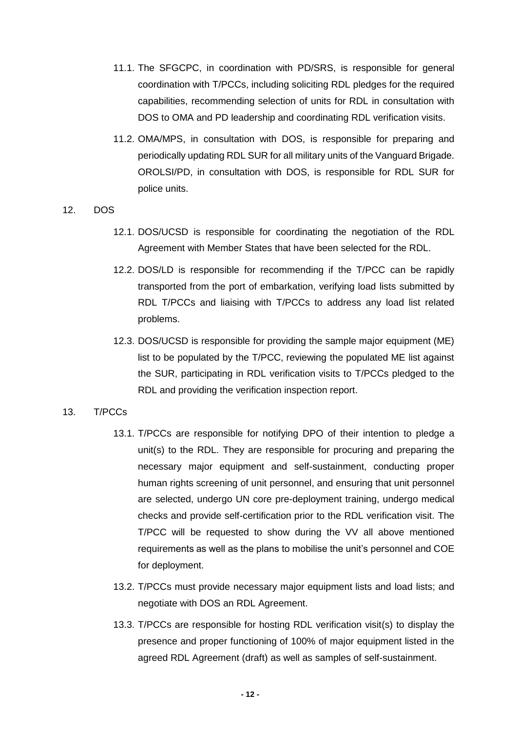- 11.1. The SFGCPC, in coordination with PD/SRS, is responsible for general coordination with T/PCCs, including soliciting RDL pledges for the required capabilities, recommending selection of units for RDL in consultation with DOS to OMA and PD leadership and coordinating RDL verification visits.
- 11.2. OMA/MPS, in consultation with DOS, is responsible for preparing and periodically updating RDL SUR for all military units of the Vanguard Brigade. OROLSI/PD, in consultation with DOS, is responsible for RDL SUR for police units.

12. DOS

- 12.1. DOS/UCSD is responsible for coordinating the negotiation of the RDL Agreement with Member States that have been selected for the RDL.
- 12.2. DOS/LD is responsible for recommending if the T/PCC can be rapidly transported from the port of embarkation, verifying load lists submitted by RDL T/PCCs and liaising with T/PCCs to address any load list related problems.
- 12.3. DOS/UCSD is responsible for providing the sample major equipment (ME) list to be populated by the T/PCC, reviewing the populated ME list against the SUR, participating in RDL verification visits to T/PCCs pledged to the RDL and providing the verification inspection report.

#### 13. T/PCCs

- 13.1. T/PCCs are responsible for notifying DPO of their intention to pledge a unit(s) to the RDL. They are responsible for procuring and preparing the necessary major equipment and self-sustainment, conducting proper human rights screening of unit personnel, and ensuring that unit personnel are selected, undergo UN core pre-deployment training, undergo medical checks and provide self-certification prior to the RDL verification visit. The T/PCC will be requested to show during the VV all above mentioned requirements as well as the plans to mobilise the unit's personnel and COE for deployment.
- 13.2. T/PCCs must provide necessary major equipment lists and load lists; and negotiate with DOS an RDL Agreement.
- 13.3. T/PCCs are responsible for hosting RDL verification visit(s) to display the presence and proper functioning of 100% of major equipment listed in the agreed RDL Agreement (draft) as well as samples of self-sustainment.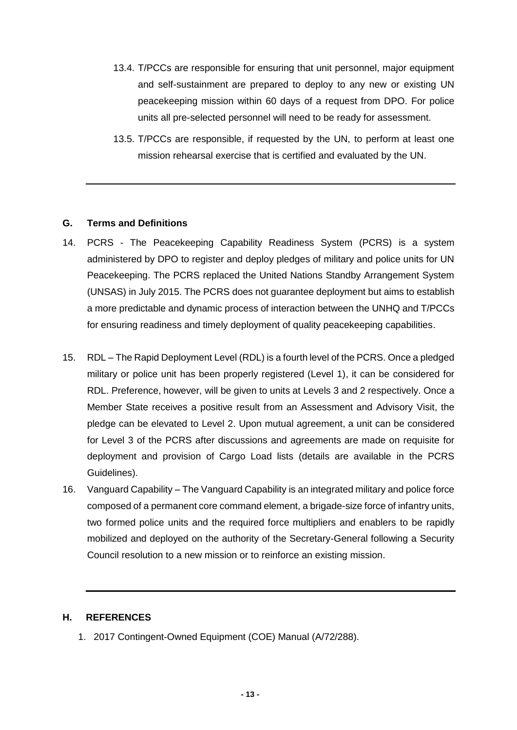- 13.4. T/PCCs are responsible for ensuring that unit personnel, major equipment and self-sustainment are prepared to deploy to any new or existing UN peacekeeping mission within 60 days of a request from DPO. For police units all pre-selected personnel will need to be ready for assessment.
- 13.5. T/PCCs are responsible, if requested by the UN, to perform at least one mission rehearsal exercise that is certified and evaluated by the UN.

## **G. Terms and Definitions**

- 14. PCRS The Peacekeeping Capability Readiness System (PCRS) is a system administered by DPO to register and deploy pledges of military and police units for UN Peacekeeping. The PCRS replaced the United Nations Standby Arrangement System (UNSAS) in July 2015. The PCRS does not guarantee deployment but aims to establish a more predictable and dynamic process of interaction between the UNHQ and T/PCCs for ensuring readiness and timely deployment of quality peacekeeping capabilities.
- 15. RDL The Rapid Deployment Level (RDL) is a fourth level of the PCRS. Once a pledged military or police unit has been properly registered (Level 1), it can be considered for RDL. Preference, however, will be given to units at Levels 3 and 2 respectively. Once a Member State receives a positive result from an Assessment and Advisory Visit, the pledge can be elevated to Level 2. Upon mutual agreement, a unit can be considered for Level 3 of the PCRS after discussions and agreements are made on requisite for deployment and provision of Cargo Load lists (details are available in the PCRS Guidelines).
- 16. Vanguard Capability The Vanguard Capability is an integrated military and police force composed of a permanent core command element, a brigade-size force of infantry units, two formed police units and the required force multipliers and enablers to be rapidly mobilized and deployed on the authority of the Secretary-General following a Security Council resolution to a new mission or to reinforce an existing mission.

#### **H. REFERENCES**

1. 2017 Contingent-Owned Equipment (COE) Manual (A/72/288).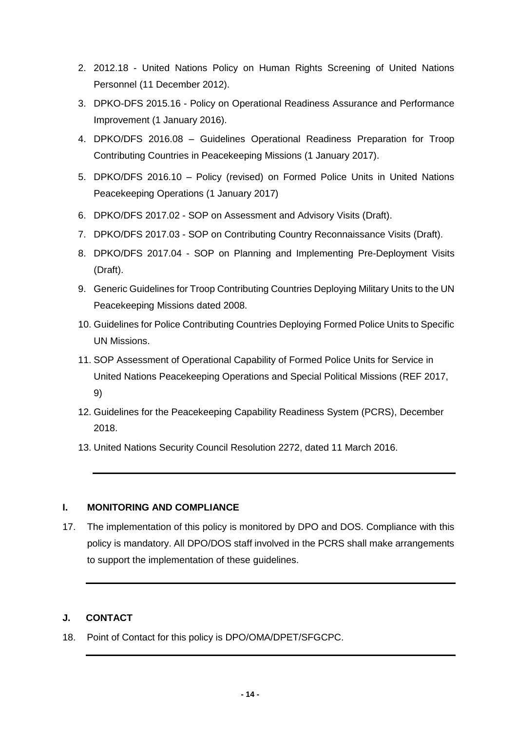- 2. 2012.18 United Nations Policy on Human Rights Screening of United Nations Personnel (11 December 2012).
- 3. DPKO-DFS 2015.16 Policy on Operational Readiness Assurance and Performance Improvement (1 January 2016).
- 4. DPKO/DFS 2016.08 Guidelines Operational Readiness Preparation for Troop Contributing Countries in Peacekeeping Missions (1 January 2017).
- 5. DPKO/DFS 2016.10 Policy (revised) on Formed Police Units in United Nations Peacekeeping Operations (1 January 2017)
- 6. DPKO/DFS 2017.02 SOP on Assessment and Advisory Visits (Draft).
- 7. DPKO/DFS 2017.03 SOP on Contributing Country Reconnaissance Visits (Draft).
- 8. DPKO/DFS 2017.04 SOP on Planning and Implementing Pre-Deployment Visits (Draft).
- 9. Generic Guidelines for Troop Contributing Countries Deploying Military Units to the UN Peacekeeping Missions dated 2008.
- 10. Guidelines for Police Contributing Countries Deploying Formed Police Units to Specific UN Missions.
- 11. SOP Assessment of Operational Capability of Formed Police Units for Service in United Nations Peacekeeping Operations and Special Political Missions (REF 2017, 9)
- 12. Guidelines for the Peacekeeping Capability Readiness System (PCRS), December 2018.
- 13. United Nations Security Council Resolution 2272, dated 11 March 2016.

## **I. MONITORING AND COMPLIANCE**

17. The implementation of this policy is monitored by DPO and DOS. Compliance with this policy is mandatory. All DPO/DOS staff involved in the PCRS shall make arrangements to support the implementation of these guidelines.

## **J. CONTACT**

18. Point of Contact for this policy is DPO/OMA/DPET/SFGCPC.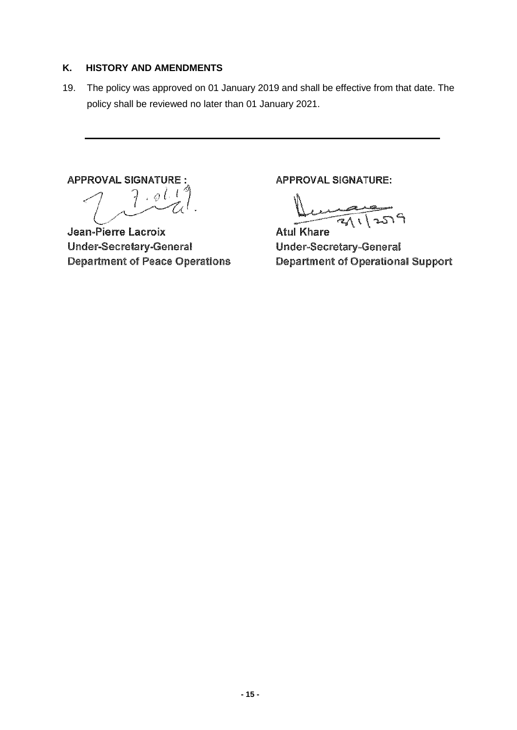## **K. HISTORY AND AMENDMENTS**

19. The policy was approved on 01 January 2019 and shall be effective from that date. The policy shall be reviewed no later than 01 January 2021.

**APPROVAL SIGNATURE:** 

 $\int \rho l \cdot l$ 7

Jean-Pierre Lacroix **Under-Secretary-General Department of Peace Operations** 

**APPROVAL SIGNATURE:** 

**Atul Khare Under-Secretary-General Department of Operational Support**